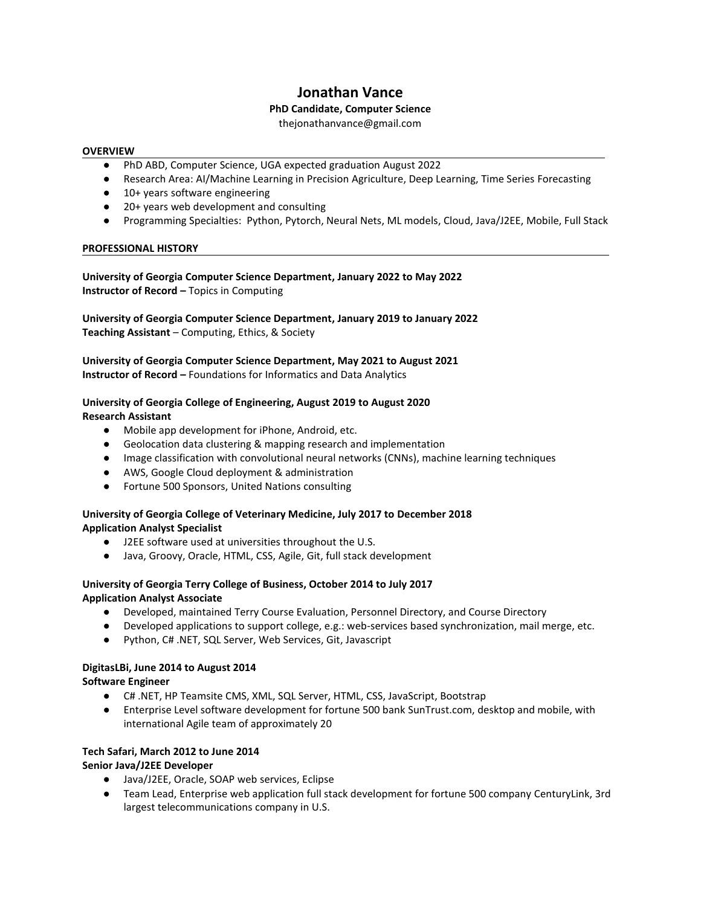# **Jonathan Vance**

# **PhD Candidate, Computer Science**

thejonathanvance@gmail.com

#### **OVERVIEW**

- PhD ABD, Computer Science, UGA expected graduation August 2022
- Research Area: AI/Machine Learning in Precision Agriculture, Deep Learning, Time Series Forecasting
- 10+ years software engineering
- 20+ years web development and consulting
- Programming Specialties: Python, Pytorch, Neural Nets, ML models, Cloud, Java/J2EE, Mobile, Full Stack

# **PROFESSIONAL HISTORY**

# **University of Georgia Computer Science Department, January 2022 to May 2022 Instructor of Record –** Topics in Computing

**University of Georgia Computer Science Department, January 2019 to January 2022 Teaching Assistant** – Computing, Ethics, & Society

# **University of Georgia Computer Science Department, May 2021 to August 2021 Instructor of Record –** Foundations for Informatics and Data Analytics

#### **University of Georgia College of Engineering, August 2019 to August 2020 Research Assistant**

- Mobile app development for iPhone, Android, etc.
- Geolocation data clustering & mapping research and implementation
- Image classification with convolutional neural networks (CNNs), machine learning techniques
- AWS, Google Cloud deployment & administration
- Fortune 500 Sponsors, United Nations consulting

# **University of Georgia College of Veterinary Medicine, July 2017 to December 2018 Application Analyst Specialist**

- J2EE software used at universities throughout the U.S.
- Java, Groovy, Oracle, HTML, CSS, Agile, Git, full stack development

# **University of Georgia Terry College of Business, October 2014 to July 2017 Application Analyst Associate**

- Developed, maintained Terry Course Evaluation, Personnel Directory, and Course Directory
- Developed applications to support college, e.g.: web-services based synchronization, mail merge, etc.
- Python, C# .NET, SQL Server, Web Services, Git, Javascript

#### **DigitasLBi, June 2014 to August 2014 Software Engineer**

- C# .NET, HP Teamsite CMS, XML, SQL Server, HTML, CSS, JavaScript, Bootstrap
- Enterprise Level software development for fortune 500 bank SunTrust.com, desktop and mobile, with international Agile team of approximately 20

# **Tech Safari, March 2012 to June 2014**

# **Senior Java/J2EE Developer**

- Java/J2EE, Oracle, SOAP web services, Eclipse
- Team Lead, Enterprise web application full stack development for fortune 500 company CenturyLink, 3rd largest telecommunications company in U.S.